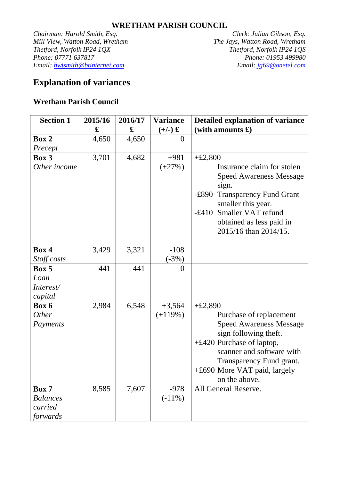## **WRETHAM PARISH COUNCIL**

*Chairman: Harold Smith, Esq. Clerk: Julian Gibson, Esq. Mill View, Watton Road, Wretham The Jays, Watton Road, Wretham Thetford, Norfolk IP24 1QX Thetford, Norfolk IP24 1QS Phone: 07771 637817 Email: hwjsmith@btinternet.com Email: jg69@onetel.com*

## **Explanation of variances**

## **Wretham Parish Council**

| <b>Section 1</b> | 2015/16 | 2016/17 | <b>Variance</b> | <b>Detailed explanation of variance</b>           |  |
|------------------|---------|---------|-----------------|---------------------------------------------------|--|
|                  | £       | £       | $(+/-)$ £       | (with amounts $\mathbf{\pounds})$                 |  |
| Box 2            | 4,650   | 4,650   | $\theta$        |                                                   |  |
| Precept          |         |         |                 |                                                   |  |
| Box 3            | 3,701   | 4,682   | $+981$          | $+£2,800$                                         |  |
| Other income     |         |         | $(+27%)$        | Insurance claim for stolen                        |  |
|                  |         |         |                 | <b>Speed Awareness Message</b>                    |  |
|                  |         |         |                 | sign.                                             |  |
|                  |         |         |                 | <b>Transparency Fund Grant</b><br>$-\pounds890$   |  |
|                  |         |         |                 | smaller this year.                                |  |
|                  |         |         |                 | -£410 Smaller VAT refund                          |  |
|                  |         |         |                 | obtained as less paid in<br>2015/16 than 2014/15. |  |
|                  |         |         |                 |                                                   |  |
| Box 4            | 3,429   | 3,321   | $-108$          |                                                   |  |
| Staff costs      |         |         | $(.3\%)$        |                                                   |  |
| Box 5            | 441     | 441     | $\theta$        |                                                   |  |
| Loan             |         |         |                 |                                                   |  |
| Interest/        |         |         |                 |                                                   |  |
| capital          |         |         |                 |                                                   |  |
| Box 6            | 2,984   | 6,548   | $+3,564$        | $+£2,890$                                         |  |
| <b>Other</b>     |         |         | $(+119%)$       | Purchase of replacement                           |  |
| Payments         |         |         |                 | <b>Speed Awareness Message</b>                    |  |
|                  |         |         |                 | sign following theft.                             |  |
|                  |         |         |                 | $+£420$ Purchase of laptop,                       |  |
|                  |         |         |                 | scanner and software with                         |  |
|                  |         |         |                 | Transparency Fund grant.                          |  |
|                  |         |         |                 | +£690 More VAT paid, largely                      |  |
|                  |         |         |                 | on the above.                                     |  |
| Box 7            | 8,585   | 7,607   | $-978$          | All General Reserve.                              |  |
| <b>Balances</b>  |         |         | $(-11\%)$       |                                                   |  |
| carried          |         |         |                 |                                                   |  |
| forwards         |         |         |                 |                                                   |  |